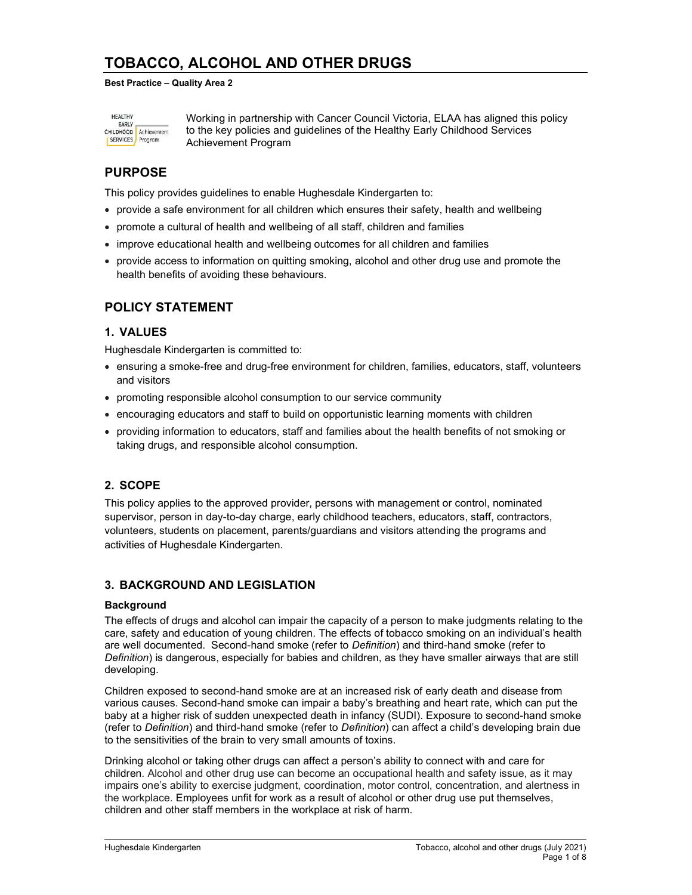# TOBACCO, ALCOHOL AND OTHER DRUGS

#### Best Practice – Quality Area 2

| <b>HEALTHY</b><br>FARI V |             |
|--------------------------|-------------|
| CHILDHOOD                | Achievement |
| <b>SERVICES</b>          | Program     |

Working in partnership with Cancer Council Victoria, ELAA has aligned this policy to the key policies and guidelines of the Healthy Early Childhood Services Achievement Program

## PURPOSE

This policy provides guidelines to enable Hughesdale Kindergarten to:

- provide a safe environment for all children which ensures their safety, health and wellbeing
- promote a cultural of health and wellbeing of all staff, children and families
- improve educational health and wellbeing outcomes for all children and families
- provide access to information on quitting smoking, alcohol and other drug use and promote the health benefits of avoiding these behaviours.

## POLICY STATEMENT

## 1. VALUES

Hughesdale Kindergarten is committed to:

- ensuring a smoke-free and drug-free environment for children, families, educators, staff, volunteers and visitors
- promoting responsible alcohol consumption to our service community
- encouraging educators and staff to build on opportunistic learning moments with children
- providing information to educators, staff and families about the health benefits of not smoking or taking drugs, and responsible alcohol consumption.

## 2. SCOPE

This policy applies to the approved provider, persons with management or control, nominated supervisor, person in day-to-day charge, early childhood teachers, educators, staff, contractors, volunteers, students on placement, parents/guardians and visitors attending the programs and activities of Hughesdale Kindergarten.

### 3. BACKGROUND AND LEGISLATION

#### **Background**

The effects of drugs and alcohol can impair the capacity of a person to make judgments relating to the care, safety and education of young children. The effects of tobacco smoking on an individual's health are well documented. Second-hand smoke (refer to Definition) and third-hand smoke (refer to Definition) is dangerous, especially for babies and children, as they have smaller airways that are still developing.

Children exposed to second-hand smoke are at an increased risk of early death and disease from various causes. Second-hand smoke can impair a baby's breathing and heart rate, which can put the baby at a higher risk of sudden unexpected death in infancy (SUDI). Exposure to second-hand smoke (refer to Definition) and third-hand smoke (refer to Definition) can affect a child's developing brain due to the sensitivities of the brain to very small amounts of toxins.

Drinking alcohol or taking other drugs can affect a person's ability to connect with and care for children. Alcohol and other drug use can become an occupational health and safety issue, as it may impairs one's ability to exercise judgment, coordination, motor control, concentration, and alertness in the workplace. Employees unfit for work as a result of alcohol or other drug use put themselves, children and other staff members in the workplace at risk of harm.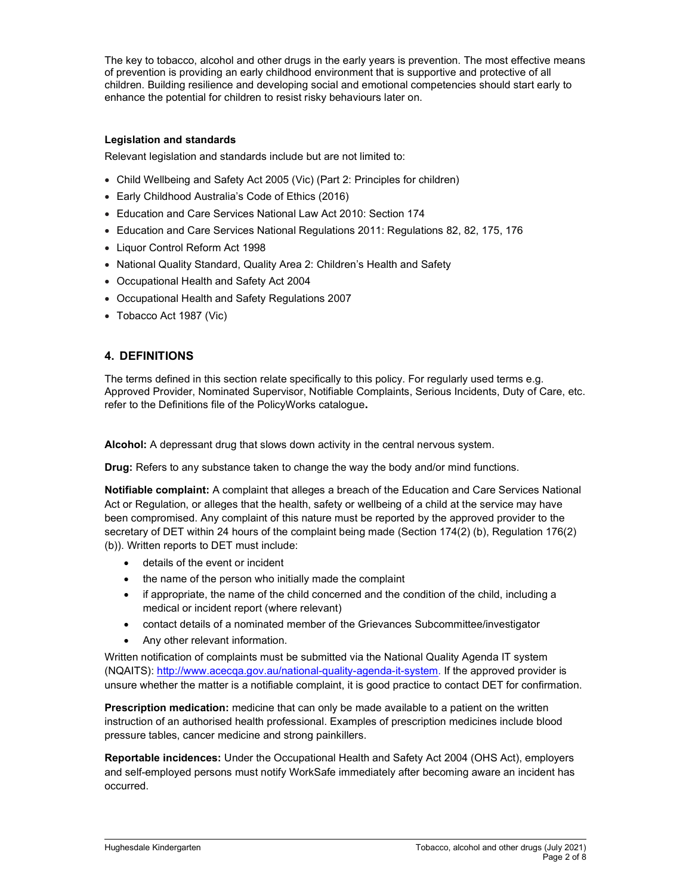The key to tobacco, alcohol and other drugs in the early years is prevention. The most effective means of prevention is providing an early childhood environment that is supportive and protective of all children. Building resilience and developing social and emotional competencies should start early to enhance the potential for children to resist risky behaviours later on.

#### Legislation and standards

Relevant legislation and standards include but are not limited to:

- Child Wellbeing and Safety Act 2005 (Vic) (Part 2: Principles for children)
- Early Childhood Australia's Code of Ethics (2016)
- Education and Care Services National Law Act 2010: Section 174
- Education and Care Services National Regulations 2011: Regulations 82, 82, 175, 176
- Liquor Control Reform Act 1998
- National Quality Standard, Quality Area 2: Children's Health and Safety
- Occupational Health and Safety Act 2004
- Occupational Health and Safety Regulations 2007
- Tobacco Act 1987 (Vic)

## 4. DEFINITIONS

The terms defined in this section relate specifically to this policy. For regularly used terms e.g. Approved Provider, Nominated Supervisor, Notifiable Complaints, Serious Incidents, Duty of Care, etc. refer to the Definitions file of the PolicyWorks catalogue.

Alcohol: A depressant drug that slows down activity in the central nervous system.

Drug: Refers to any substance taken to change the way the body and/or mind functions.

Notifiable complaint: A complaint that alleges a breach of the Education and Care Services National Act or Regulation, or alleges that the health, safety or wellbeing of a child at the service may have been compromised. Any complaint of this nature must be reported by the approved provider to the secretary of DET within 24 hours of the complaint being made (Section 174(2) (b), Regulation 176(2) (b)). Written reports to DET must include:

- details of the event or incident
- the name of the person who initially made the complaint
- if appropriate, the name of the child concerned and the condition of the child, including a medical or incident report (where relevant)
- contact details of a nominated member of the Grievances Subcommittee/investigator
- Any other relevant information.

Written notification of complaints must be submitted via the National Quality Agenda IT system (NQAITS): http://www.acecqa.gov.au/national-quality-agenda-it-system. If the approved provider is unsure whether the matter is a notifiable complaint, it is good practice to contact DET for confirmation.

Prescription medication: medicine that can only be made available to a patient on the written instruction of an authorised health professional. Examples of prescription medicines include blood pressure tables, cancer medicine and strong painkillers.

Reportable incidences: Under the Occupational Health and Safety Act 2004 (OHS Act), employers and self-employed persons must notify WorkSafe immediately after becoming aware an incident has occurred.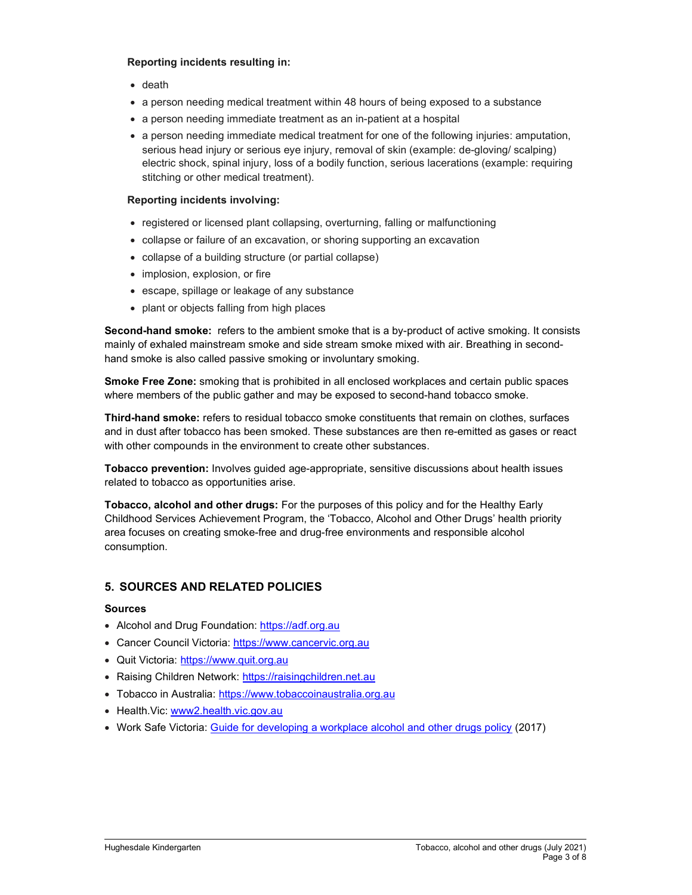#### Reporting incidents resulting in:

- death
- a person needing medical treatment within 48 hours of being exposed to a substance
- a person needing immediate treatment as an in-patient at a hospital
- a person needing immediate medical treatment for one of the following injuries: amputation, serious head injury or serious eye injury, removal of skin (example: de-gloving/ scalping) electric shock, spinal injury, loss of a bodily function, serious lacerations (example: requiring stitching or other medical treatment).

#### Reporting incidents involving:

- registered or licensed plant collapsing, overturning, falling or malfunctioning
- collapse or failure of an excavation, or shoring supporting an excavation
- collapse of a building structure (or partial collapse)
- implosion, explosion, or fire
- escape, spillage or leakage of any substance
- plant or objects falling from high places

Second-hand smoke: refers to the ambient smoke that is a by-product of active smoking. It consists mainly of exhaled mainstream smoke and side stream smoke mixed with air. Breathing in secondhand smoke is also called passive smoking or involuntary smoking.

Smoke Free Zone: smoking that is prohibited in all enclosed workplaces and certain public spaces where members of the public gather and may be exposed to second-hand tobacco smoke.

Third-hand smoke: refers to residual tobacco smoke constituents that remain on clothes, surfaces and in dust after tobacco has been smoked. These substances are then re-emitted as gases or react with other compounds in the environment to create other substances.

Tobacco prevention: Involves guided age-appropriate, sensitive discussions about health issues related to tobacco as opportunities arise.

Tobacco, alcohol and other drugs: For the purposes of this policy and for the Healthy Early Childhood Services Achievement Program, the 'Tobacco, Alcohol and Other Drugs' health priority area focuses on creating smoke-free and drug-free environments and responsible alcohol consumption.

### 5. SOURCES AND RELATED POLICIES

#### Sources

- Alcohol and Drug Foundation: https://adf.org.au
- Cancer Council Victoria: https://www.cancervic.org.au
- Quit Victoria: https://www.quit.org.au
- Raising Children Network: https://raisingchildren.net.au
- Tobacco in Australia: https://www.tobaccoinaustralia.org.au
- Health.Vic: www2.health.vic.gov.au
- Work Safe Victoria: Guide for developing a workplace alcohol and other drugs policy (2017)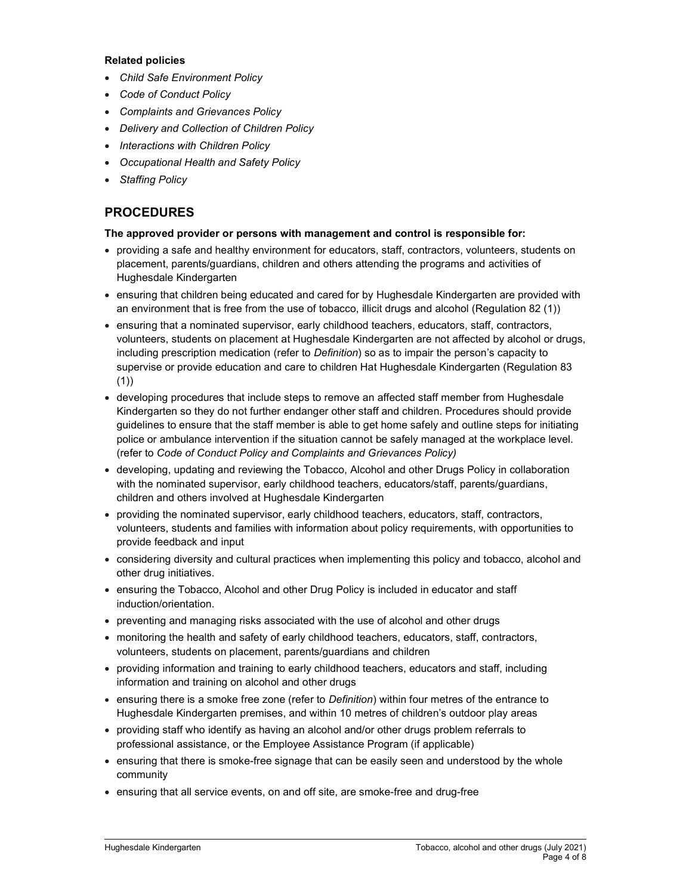#### Related policies

- Child Safe Environment Policy
- Code of Conduct Policy
- Complaints and Grievances Policy
- Delivery and Collection of Children Policy
- Interactions with Children Policy
- Occupational Health and Safety Policy
- Staffing Policy

## PROCEDURES

#### The approved provider or persons with management and control is responsible for:

- providing a safe and healthy environment for educators, staff, contractors, volunteers, students on placement, parents/guardians, children and others attending the programs and activities of Hughesdale Kindergarten
- ensuring that children being educated and cared for by Hughesdale Kindergarten are provided with an environment that is free from the use of tobacco, illicit drugs and alcohol (Regulation 82 (1))
- ensuring that a nominated supervisor, early childhood teachers, educators, staff, contractors, volunteers, students on placement at Hughesdale Kindergarten are not affected by alcohol or drugs, including prescription medication (refer to Definition) so as to impair the person's capacity to supervise or provide education and care to children Hat Hughesdale Kindergarten (Regulation 83 (1))
- developing procedures that include steps to remove an affected staff member from Hughesdale Kindergarten so they do not further endanger other staff and children. Procedures should provide guidelines to ensure that the staff member is able to get home safely and outline steps for initiating police or ambulance intervention if the situation cannot be safely managed at the workplace level. (refer to Code of Conduct Policy and Complaints and Grievances Policy)
- developing, updating and reviewing the Tobacco, Alcohol and other Drugs Policy in collaboration with the nominated supervisor, early childhood teachers, educators/staff, parents/guardians, children and others involved at Hughesdale Kindergarten
- providing the nominated supervisor, early childhood teachers, educators, staff, contractors, volunteers, students and families with information about policy requirements, with opportunities to provide feedback and input
- considering diversity and cultural practices when implementing this policy and tobacco, alcohol and other drug initiatives.
- ensuring the Tobacco, Alcohol and other Drug Policy is included in educator and staff induction/orientation.
- preventing and managing risks associated with the use of alcohol and other drugs
- monitoring the health and safety of early childhood teachers, educators, staff, contractors, volunteers, students on placement, parents/guardians and children
- providing information and training to early childhood teachers, educators and staff, including information and training on alcohol and other drugs
- ensuring there is a smoke free zone (refer to Definition) within four metres of the entrance to Hughesdale Kindergarten premises, and within 10 metres of children's outdoor play areas
- providing staff who identify as having an alcohol and/or other drugs problem referrals to professional assistance, or the Employee Assistance Program (if applicable)
- ensuring that there is smoke-free signage that can be easily seen and understood by the whole community
- ensuring that all service events, on and off site, are smoke-free and drug-free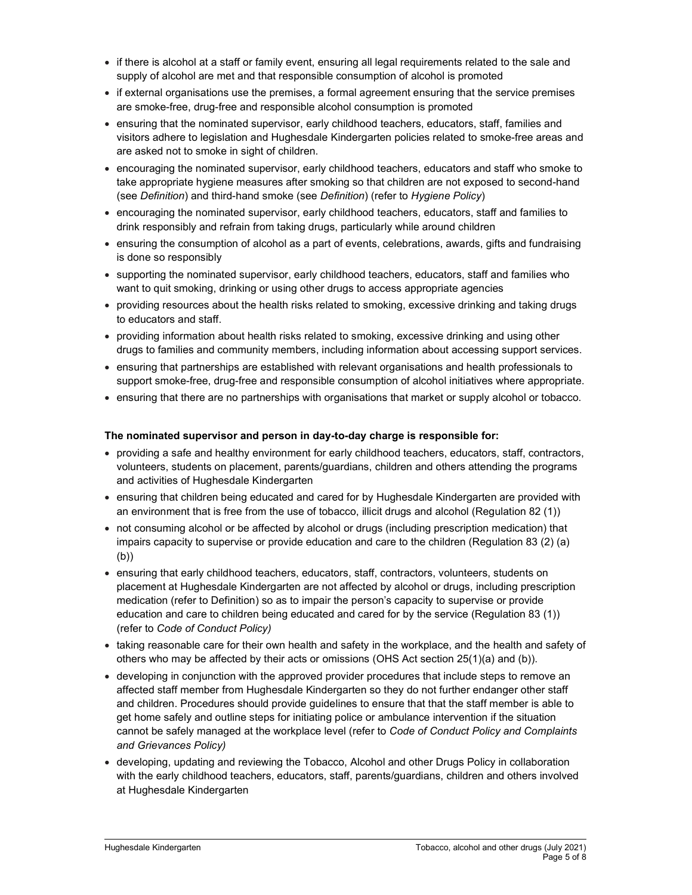- if there is alcohol at a staff or family event, ensuring all legal requirements related to the sale and supply of alcohol are met and that responsible consumption of alcohol is promoted
- if external organisations use the premises, a formal agreement ensuring that the service premises are smoke-free, drug-free and responsible alcohol consumption is promoted
- ensuring that the nominated supervisor, early childhood teachers, educators, staff, families and visitors adhere to legislation and Hughesdale Kindergarten policies related to smoke-free areas and are asked not to smoke in sight of children.
- encouraging the nominated supervisor, early childhood teachers, educators and staff who smoke to take appropriate hygiene measures after smoking so that children are not exposed to second-hand (see Definition) and third-hand smoke (see Definition) (refer to Hygiene Policy)
- encouraging the nominated supervisor, early childhood teachers, educators, staff and families to drink responsibly and refrain from taking drugs, particularly while around children
- ensuring the consumption of alcohol as a part of events, celebrations, awards, gifts and fundraising is done so responsibly
- supporting the nominated supervisor, early childhood teachers, educators, staff and families who want to quit smoking, drinking or using other drugs to access appropriate agencies
- providing resources about the health risks related to smoking, excessive drinking and taking drugs to educators and staff.
- providing information about health risks related to smoking, excessive drinking and using other drugs to families and community members, including information about accessing support services.
- ensuring that partnerships are established with relevant organisations and health professionals to support smoke-free, drug-free and responsible consumption of alcohol initiatives where appropriate.
- ensuring that there are no partnerships with organisations that market or supply alcohol or tobacco.

#### The nominated supervisor and person in day-to-day charge is responsible for:

- providing a safe and healthy environment for early childhood teachers, educators, staff, contractors, volunteers, students on placement, parents/guardians, children and others attending the programs and activities of Hughesdale Kindergarten
- ensuring that children being educated and cared for by Hughesdale Kindergarten are provided with an environment that is free from the use of tobacco, illicit drugs and alcohol (Regulation 82 (1))
- not consuming alcohol or be affected by alcohol or drugs (including prescription medication) that impairs capacity to supervise or provide education and care to the children (Regulation 83 (2) (a) (b))
- ensuring that early childhood teachers, educators, staff, contractors, volunteers, students on placement at Hughesdale Kindergarten are not affected by alcohol or drugs, including prescription medication (refer to Definition) so as to impair the person's capacity to supervise or provide education and care to children being educated and cared for by the service (Regulation 83 (1)) (refer to Code of Conduct Policy)
- taking reasonable care for their own health and safety in the workplace, and the health and safety of others who may be affected by their acts or omissions (OHS Act section 25(1)(a) and (b)).
- developing in conjunction with the approved provider procedures that include steps to remove an affected staff member from Hughesdale Kindergarten so they do not further endanger other staff and children. Procedures should provide guidelines to ensure that that the staff member is able to get home safely and outline steps for initiating police or ambulance intervention if the situation cannot be safely managed at the workplace level (refer to Code of Conduct Policy and Complaints and Grievances Policy)
- developing, updating and reviewing the Tobacco, Alcohol and other Drugs Policy in collaboration with the early childhood teachers, educators, staff, parents/guardians, children and others involved at Hughesdale Kindergarten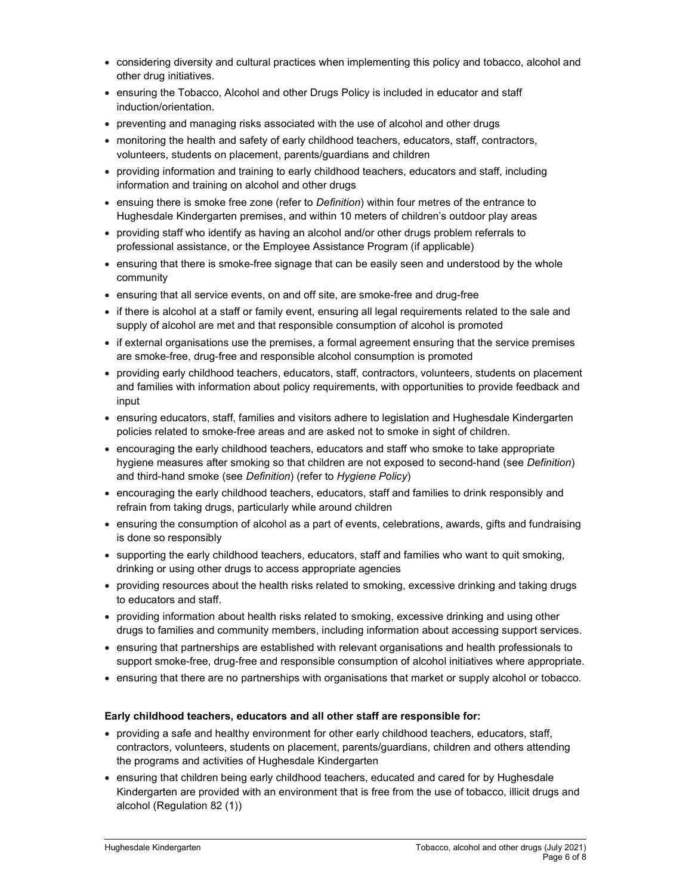- considering diversity and cultural practices when implementing this policy and tobacco, alcohol and other drug initiatives.
- ensuring the Tobacco, Alcohol and other Drugs Policy is included in educator and staff induction/orientation.
- preventing and managing risks associated with the use of alcohol and other drugs
- monitoring the health and safety of early childhood teachers, educators, staff, contractors, volunteers, students on placement, parents/guardians and children
- providing information and training to early childhood teachers, educators and staff, including information and training on alcohol and other drugs
- ensuing there is smoke free zone (refer to Definition) within four metres of the entrance to Hughesdale Kindergarten premises, and within 10 meters of children's outdoor play areas
- providing staff who identify as having an alcohol and/or other drugs problem referrals to professional assistance, or the Employee Assistance Program (if applicable)
- ensuring that there is smoke-free signage that can be easily seen and understood by the whole community
- ensuring that all service events, on and off site, are smoke-free and drug-free
- if there is alcohol at a staff or family event, ensuring all legal requirements related to the sale and supply of alcohol are met and that responsible consumption of alcohol is promoted
- if external organisations use the premises, a formal agreement ensuring that the service premises are smoke-free, drug-free and responsible alcohol consumption is promoted
- providing early childhood teachers, educators, staff, contractors, volunteers, students on placement and families with information about policy requirements, with opportunities to provide feedback and input
- ensuring educators, staff, families and visitors adhere to legislation and Hughesdale Kindergarten policies related to smoke-free areas and are asked not to smoke in sight of children.
- encouraging the early childhood teachers, educators and staff who smoke to take appropriate hygiene measures after smoking so that children are not exposed to second-hand (see Definition) and third-hand smoke (see Definition) (refer to Hygiene Policy)
- encouraging the early childhood teachers, educators, staff and families to drink responsibly and refrain from taking drugs, particularly while around children
- ensuring the consumption of alcohol as a part of events, celebrations, awards, gifts and fundraising is done so responsibly
- supporting the early childhood teachers, educators, staff and families who want to quit smoking, drinking or using other drugs to access appropriate agencies
- providing resources about the health risks related to smoking, excessive drinking and taking drugs to educators and staff.
- providing information about health risks related to smoking, excessive drinking and using other drugs to families and community members, including information about accessing support services.
- ensuring that partnerships are established with relevant organisations and health professionals to support smoke-free, drug-free and responsible consumption of alcohol initiatives where appropriate.
- ensuring that there are no partnerships with organisations that market or supply alcohol or tobacco.

#### Early childhood teachers, educators and all other staff are responsible for:

- providing a safe and healthy environment for other early childhood teachers, educators, staff, contractors, volunteers, students on placement, parents/guardians, children and others attending the programs and activities of Hughesdale Kindergarten
- ensuring that children being early childhood teachers, educated and cared for by Hughesdale Kindergarten are provided with an environment that is free from the use of tobacco, illicit drugs and alcohol (Regulation 82 (1))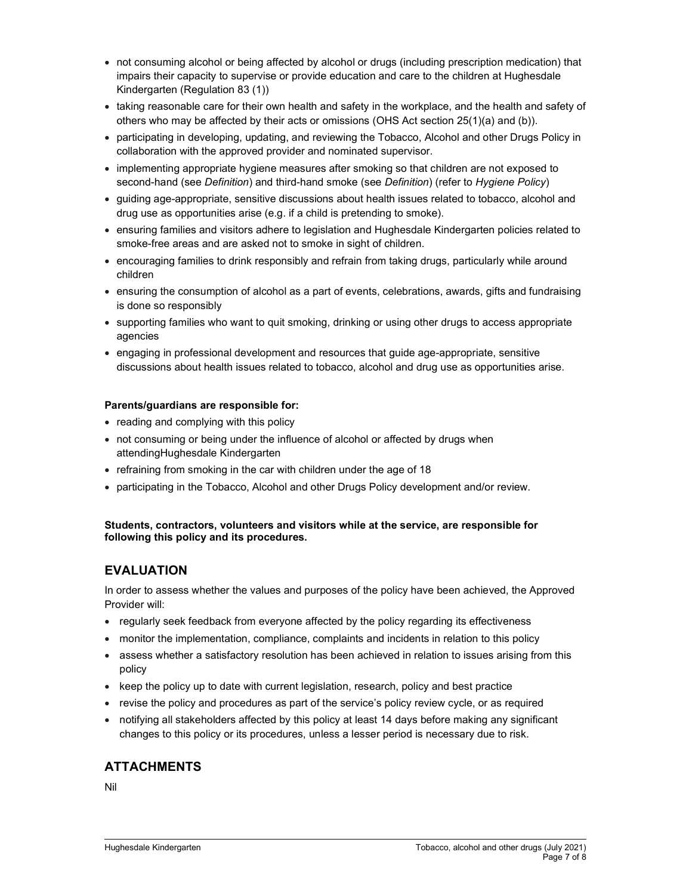- not consuming alcohol or being affected by alcohol or drugs (including prescription medication) that impairs their capacity to supervise or provide education and care to the children at Hughesdale Kindergarten (Regulation 83 (1))
- taking reasonable care for their own health and safety in the workplace, and the health and safety of others who may be affected by their acts or omissions (OHS Act section 25(1)(a) and (b)).
- participating in developing, updating, and reviewing the Tobacco, Alcohol and other Drugs Policy in collaboration with the approved provider and nominated supervisor.
- implementing appropriate hygiene measures after smoking so that children are not exposed to second-hand (see Definition) and third-hand smoke (see Definition) (refer to Hygiene Policy)
- guiding age-appropriate, sensitive discussions about health issues related to tobacco, alcohol and drug use as opportunities arise (e.g. if a child is pretending to smoke).
- ensuring families and visitors adhere to legislation and Hughesdale Kindergarten policies related to smoke-free areas and are asked not to smoke in sight of children.
- encouraging families to drink responsibly and refrain from taking drugs, particularly while around children
- ensuring the consumption of alcohol as a part of events, celebrations, awards, gifts and fundraising is done so responsibly
- supporting families who want to quit smoking, drinking or using other drugs to access appropriate agencies
- engaging in professional development and resources that guide age-appropriate, sensitive discussions about health issues related to tobacco, alcohol and drug use as opportunities arise.

#### Parents/guardians are responsible for:

- reading and complying with this policy
- not consuming or being under the influence of alcohol or affected by drugs when attendingHughesdale Kindergarten
- refraining from smoking in the car with children under the age of 18
- participating in the Tobacco, Alcohol and other Drugs Policy development and/or review.

#### Students, contractors, volunteers and visitors while at the service, are responsible for following this policy and its procedures.

### EVALUATION

In order to assess whether the values and purposes of the policy have been achieved, the Approved Provider will:

- regularly seek feedback from everyone affected by the policy regarding its effectiveness
- monitor the implementation, compliance, complaints and incidents in relation to this policy
- assess whether a satisfactory resolution has been achieved in relation to issues arising from this policy
- keep the policy up to date with current legislation, research, policy and best practice
- revise the policy and procedures as part of the service's policy review cycle, or as required
- notifying all stakeholders affected by this policy at least 14 days before making any significant changes to this policy or its procedures, unless a lesser period is necessary due to risk.

## ATTACHMENTS

Nil